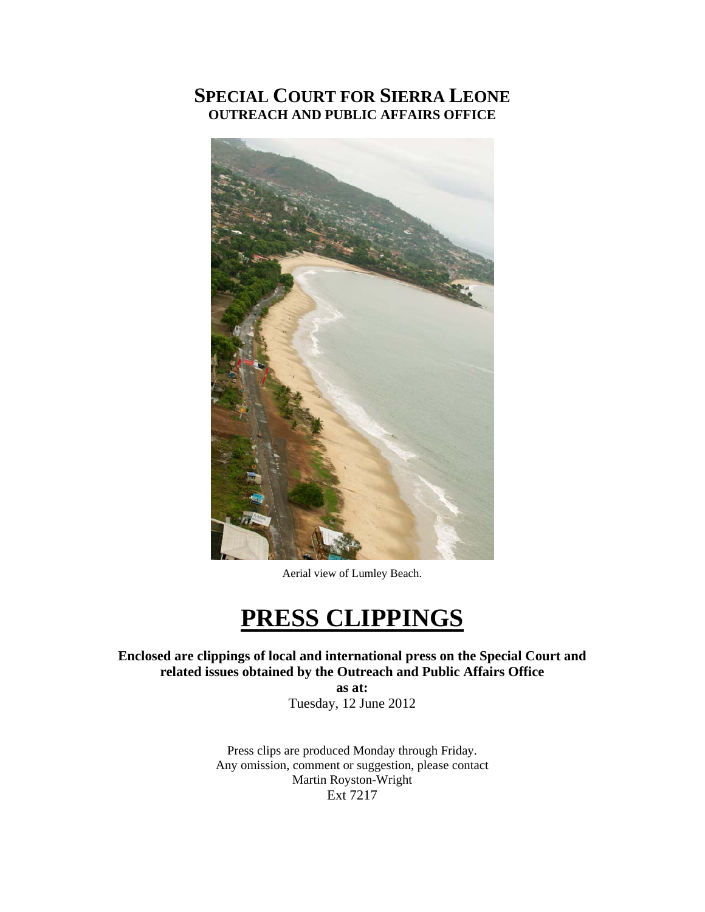## **SPECIAL COURT FOR SIERRA LEONE OUTREACH AND PUBLIC AFFAIRS OFFICE**



Aerial view of Lumley Beach.

# **PRESS CLIPPINGS**

**Enclosed are clippings of local and international press on the Special Court and related issues obtained by the Outreach and Public Affairs Office** 

> **as at:**  Tuesday, 12 June 2012

Press clips are produced Monday through Friday. Any omission, comment or suggestion, please contact Martin Royston-Wright Ext 7217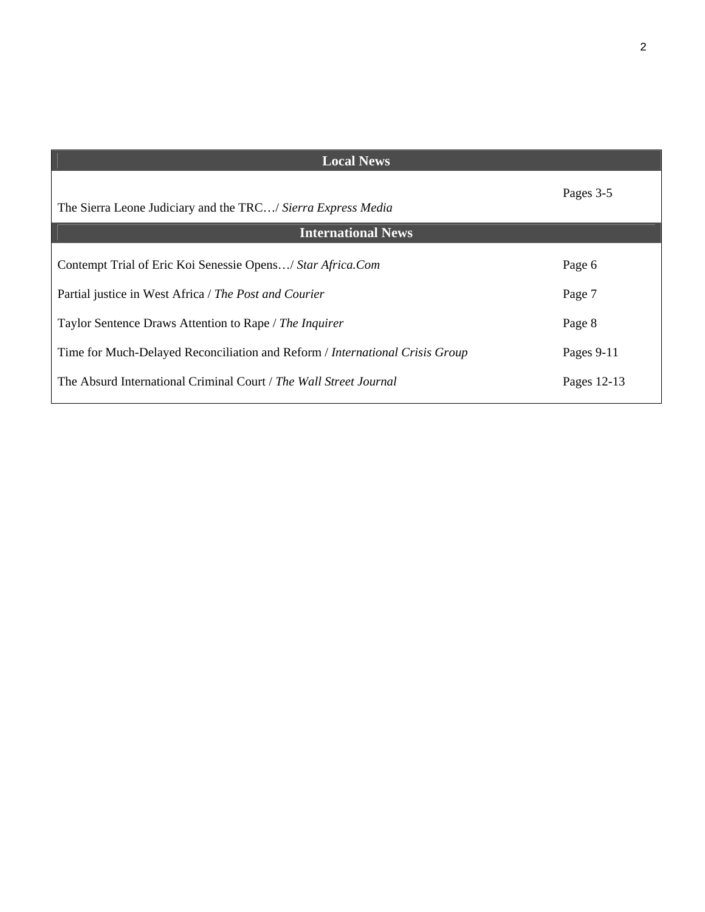| <b>Local News</b>                                                            |             |
|------------------------------------------------------------------------------|-------------|
| The Sierra Leone Judiciary and the TRC/ Sierra Express Media                 | Pages 3-5   |
| <b>International News</b>                                                    |             |
| Contempt Trial of Eric Koi Senessie Opens/ Star Africa.Com                   | Page 6      |
| Partial justice in West Africa / The Post and Courier                        | Page 7      |
| Taylor Sentence Draws Attention to Rape / The Inquirer                       | Page 8      |
| Time for Much-Delayed Reconciliation and Reform / International Crisis Group | Pages 9-11  |
| The Absurd International Criminal Court / The Wall Street Journal            | Pages 12-13 |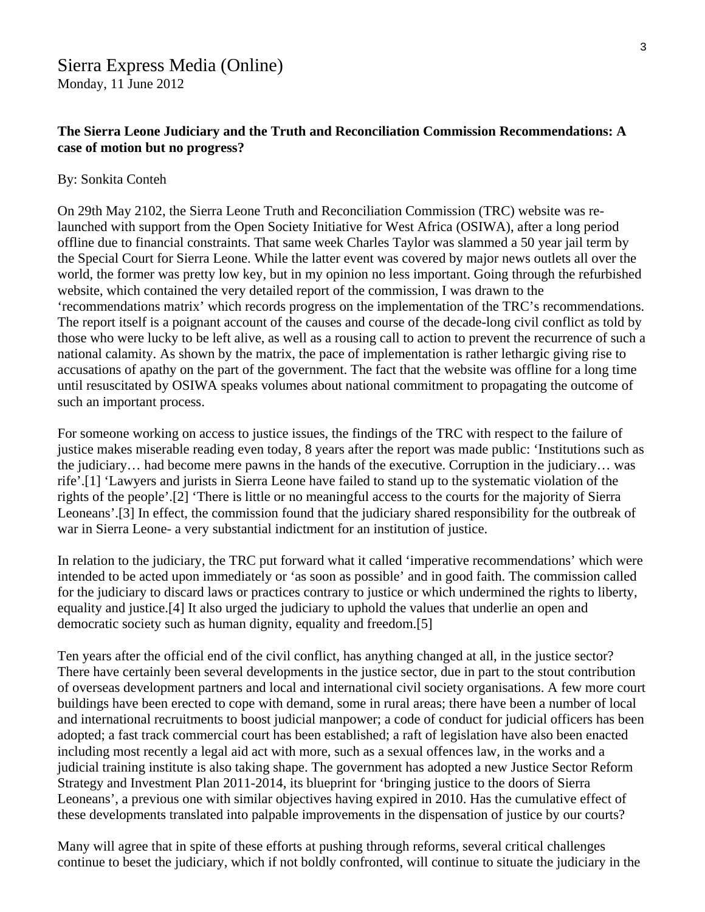#### **The Sierra Leone Judiciary and the Truth and Reconciliation Commission Recommendations: A case of motion but no progress?**

#### By: Sonkita Conteh

On 29th May 2102, the Sierra Leone Truth and Reconciliation Commission (TRC) website was relaunched with support from the Open Society Initiative for West Africa (OSIWA), after a long period offline due to financial constraints. That same week Charles Taylor was slammed a 50 year jail term by the Special Court for Sierra Leone. While the latter event was covered by major news outlets all over the world, the former was pretty low key, but in my opinion no less important. Going through the refurbished website, which contained the very detailed report of the commission, I was drawn to the 'recommendations matrix' which records progress on the implementation of the TRC's recommendations. The report itself is a poignant account of the causes and course of the decade-long civil conflict as told by those who were lucky to be left alive, as well as a rousing call to action to prevent the recurrence of such a national calamity. As shown by the matrix, the pace of implementation is rather lethargic giving rise to accusations of apathy on the part of the government. The fact that the website was offline for a long time until resuscitated by OSIWA speaks volumes about national commitment to propagating the outcome of such an important process.

For someone working on access to justice issues, the findings of the TRC with respect to the failure of justice makes miserable reading even today, 8 years after the report was made public: 'Institutions such as the judiciary… had become mere pawns in the hands of the executive. Corruption in the judiciary… was rife'.[1] 'Lawyers and jurists in Sierra Leone have failed to stand up to the systematic violation of the rights of the people'.[2] 'There is little or no meaningful access to the courts for the majority of Sierra Leoneans'.[3] In effect, the commission found that the judiciary shared responsibility for the outbreak of war in Sierra Leone- a very substantial indictment for an institution of justice.

In relation to the judiciary, the TRC put forward what it called 'imperative recommendations' which were intended to be acted upon immediately or 'as soon as possible' and in good faith. The commission called for the judiciary to discard laws or practices contrary to justice or which undermined the rights to liberty, equality and justice.[4] It also urged the judiciary to uphold the values that underlie an open and democratic society such as human dignity, equality and freedom.[5]

Ten years after the official end of the civil conflict, has anything changed at all, in the justice sector? There have certainly been several developments in the justice sector, due in part to the stout contribution of overseas development partners and local and international civil society organisations. A few more court buildings have been erected to cope with demand, some in rural areas; there have been a number of local and international recruitments to boost judicial manpower; a code of conduct for judicial officers has been adopted; a fast track commercial court has been established; a raft of legislation have also been enacted including most recently a legal aid act with more, such as a sexual offences law, in the works and a judicial training institute is also taking shape. The government has adopted a new Justice Sector Reform Strategy and Investment Plan 2011-2014, its blueprint for 'bringing justice to the doors of Sierra Leoneans', a previous one with similar objectives having expired in 2010. Has the cumulative effect of these developments translated into palpable improvements in the dispensation of justice by our courts?

Many will agree that in spite of these efforts at pushing through reforms, several critical challenges continue to beset the judiciary, which if not boldly confronted, will continue to situate the judiciary in the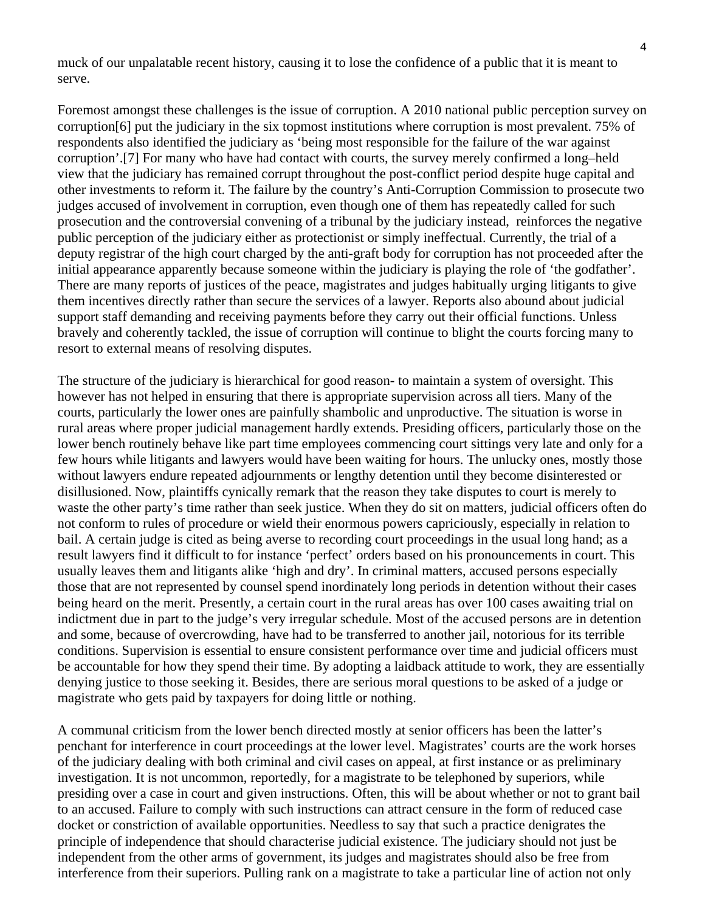muck of our unpalatable recent history, causing it to lose the confidence of a public that it is meant to serve.

Foremost amongst these challenges is the issue of corruption. A 2010 national public perception survey on corruption[6] put the judiciary in the six topmost institutions where corruption is most prevalent. 75% of respondents also identified the judiciary as 'being most responsible for the failure of the war against corruption'.[7] For many who have had contact with courts, the survey merely confirmed a long–held view that the judiciary has remained corrupt throughout the post-conflict period despite huge capital and other investments to reform it. The failure by the country's Anti-Corruption Commission to prosecute two judges accused of involvement in corruption, even though one of them has repeatedly called for such prosecution and the controversial convening of a tribunal by the judiciary instead, reinforces the negative public perception of the judiciary either as protectionist or simply ineffectual. Currently, the trial of a deputy registrar of the high court charged by the anti-graft body for corruption has not proceeded after the initial appearance apparently because someone within the judiciary is playing the role of 'the godfather'. There are many reports of justices of the peace, magistrates and judges habitually urging litigants to give them incentives directly rather than secure the services of a lawyer. Reports also abound about judicial support staff demanding and receiving payments before they carry out their official functions. Unless bravely and coherently tackled, the issue of corruption will continue to blight the courts forcing many to resort to external means of resolving disputes.

The structure of the judiciary is hierarchical for good reason- to maintain a system of oversight. This however has not helped in ensuring that there is appropriate supervision across all tiers. Many of the courts, particularly the lower ones are painfully shambolic and unproductive. The situation is worse in rural areas where proper judicial management hardly extends. Presiding officers, particularly those on the lower bench routinely behave like part time employees commencing court sittings very late and only for a few hours while litigants and lawyers would have been waiting for hours. The unlucky ones, mostly those without lawyers endure repeated adjournments or lengthy detention until they become disinterested or disillusioned. Now, plaintiffs cynically remark that the reason they take disputes to court is merely to waste the other party's time rather than seek justice. When they do sit on matters, judicial officers often do not conform to rules of procedure or wield their enormous powers capriciously, especially in relation to bail. A certain judge is cited as being averse to recording court proceedings in the usual long hand; as a result lawyers find it difficult to for instance 'perfect' orders based on his pronouncements in court. This usually leaves them and litigants alike 'high and dry'. In criminal matters, accused persons especially those that are not represented by counsel spend inordinately long periods in detention without their cases being heard on the merit. Presently, a certain court in the rural areas has over 100 cases awaiting trial on indictment due in part to the judge's very irregular schedule. Most of the accused persons are in detention and some, because of overcrowding, have had to be transferred to another jail, notorious for its terrible conditions. Supervision is essential to ensure consistent performance over time and judicial officers must be accountable for how they spend their time. By adopting a laidback attitude to work, they are essentially denying justice to those seeking it. Besides, there are serious moral questions to be asked of a judge or magistrate who gets paid by taxpayers for doing little or nothing.

A communal criticism from the lower bench directed mostly at senior officers has been the latter's penchant for interference in court proceedings at the lower level. Magistrates' courts are the work horses of the judiciary dealing with both criminal and civil cases on appeal, at first instance or as preliminary investigation. It is not uncommon, reportedly, for a magistrate to be telephoned by superiors, while presiding over a case in court and given instructions. Often, this will be about whether or not to grant bail to an accused. Failure to comply with such instructions can attract censure in the form of reduced case docket or constriction of available opportunities. Needless to say that such a practice denigrates the principle of independence that should characterise judicial existence. The judiciary should not just be independent from the other arms of government, its judges and magistrates should also be free from interference from their superiors. Pulling rank on a magistrate to take a particular line of action not only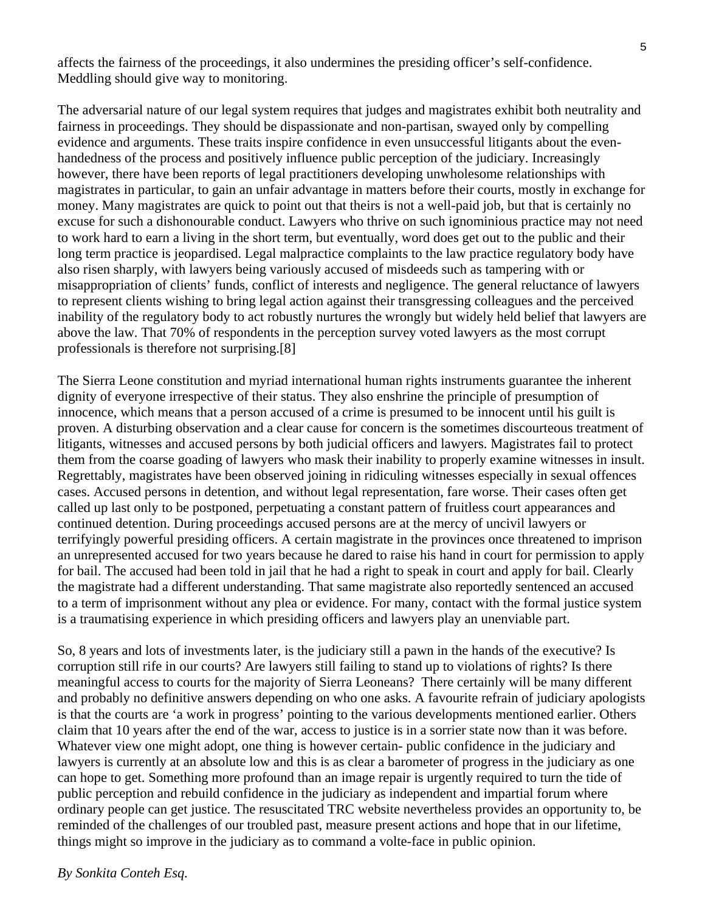affects the fairness of the proceedings, it also undermines the presiding officer's self-confidence. Meddling should give way to monitoring.

The adversarial nature of our legal system requires that judges and magistrates exhibit both neutrality and fairness in proceedings. They should be dispassionate and non-partisan, swayed only by compelling evidence and arguments. These traits inspire confidence in even unsuccessful litigants about the evenhandedness of the process and positively influence public perception of the judiciary. Increasingly however, there have been reports of legal practitioners developing unwholesome relationships with magistrates in particular, to gain an unfair advantage in matters before their courts, mostly in exchange for money. Many magistrates are quick to point out that theirs is not a well-paid job, but that is certainly no excuse for such a dishonourable conduct. Lawyers who thrive on such ignominious practice may not need to work hard to earn a living in the short term, but eventually, word does get out to the public and their long term practice is jeopardised. Legal malpractice complaints to the law practice regulatory body have also risen sharply, with lawyers being variously accused of misdeeds such as tampering with or misappropriation of clients' funds, conflict of interests and negligence. The general reluctance of lawyers to represent clients wishing to bring legal action against their transgressing colleagues and the perceived inability of the regulatory body to act robustly nurtures the wrongly but widely held belief that lawyers are above the law. That 70% of respondents in the perception survey voted lawyers as the most corrupt professionals is therefore not surprising.[8]

The Sierra Leone constitution and myriad international human rights instruments guarantee the inherent dignity of everyone irrespective of their status. They also enshrine the principle of presumption of innocence, which means that a person accused of a crime is presumed to be innocent until his guilt is proven. A disturbing observation and a clear cause for concern is the sometimes discourteous treatment of litigants, witnesses and accused persons by both judicial officers and lawyers. Magistrates fail to protect them from the coarse goading of lawyers who mask their inability to properly examine witnesses in insult. Regrettably, magistrates have been observed joining in ridiculing witnesses especially in sexual offences cases. Accused persons in detention, and without legal representation, fare worse. Their cases often get called up last only to be postponed, perpetuating a constant pattern of fruitless court appearances and continued detention. During proceedings accused persons are at the mercy of uncivil lawyers or terrifyingly powerful presiding officers. A certain magistrate in the provinces once threatened to imprison an unrepresented accused for two years because he dared to raise his hand in court for permission to apply for bail. The accused had been told in jail that he had a right to speak in court and apply for bail. Clearly the magistrate had a different understanding. That same magistrate also reportedly sentenced an accused to a term of imprisonment without any plea or evidence. For many, contact with the formal justice system is a traumatising experience in which presiding officers and lawyers play an unenviable part.

So, 8 years and lots of investments later, is the judiciary still a pawn in the hands of the executive? Is corruption still rife in our courts? Are lawyers still failing to stand up to violations of rights? Is there meaningful access to courts for the majority of Sierra Leoneans? There certainly will be many different and probably no definitive answers depending on who one asks. A favourite refrain of judiciary apologists is that the courts are 'a work in progress' pointing to the various developments mentioned earlier. Others claim that 10 years after the end of the war, access to justice is in a sorrier state now than it was before. Whatever view one might adopt, one thing is however certain- public confidence in the judiciary and lawyers is currently at an absolute low and this is as clear a barometer of progress in the judiciary as one can hope to get. Something more profound than an image repair is urgently required to turn the tide of public perception and rebuild confidence in the judiciary as independent and impartial forum where ordinary people can get justice. The resuscitated TRC website nevertheless provides an opportunity to, be reminded of the challenges of our troubled past, measure present actions and hope that in our lifetime, things might so improve in the judiciary as to command a volte-face in public opinion.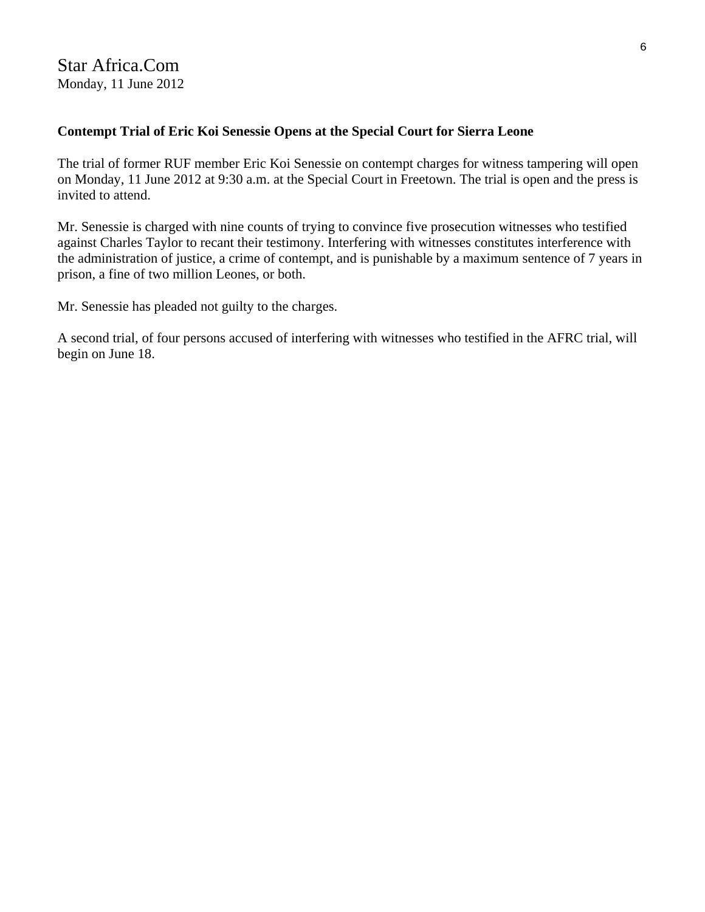Star Africa.Com Monday, 11 June 2012

#### **Contempt Trial of Eric Koi Senessie Opens at the Special Court for Sierra Leone**

The trial of former RUF member Eric Koi Senessie on contempt charges for witness tampering will open on Monday, 11 June 2012 at 9:30 a.m. at the Special Court in Freetown. The trial is open and the press is invited to attend.

Mr. Senessie is charged with nine counts of trying to convince five prosecution witnesses who testified against Charles Taylor to recant their testimony. Interfering with witnesses constitutes interference with the administration of justice, a crime of contempt, and is punishable by a maximum sentence of 7 years in prison, a fine of two million Leones, or both.

Mr. Senessie has pleaded not guilty to the charges.

A second trial, of four persons accused of interfering with witnesses who testified in the AFRC trial, will begin on June 18.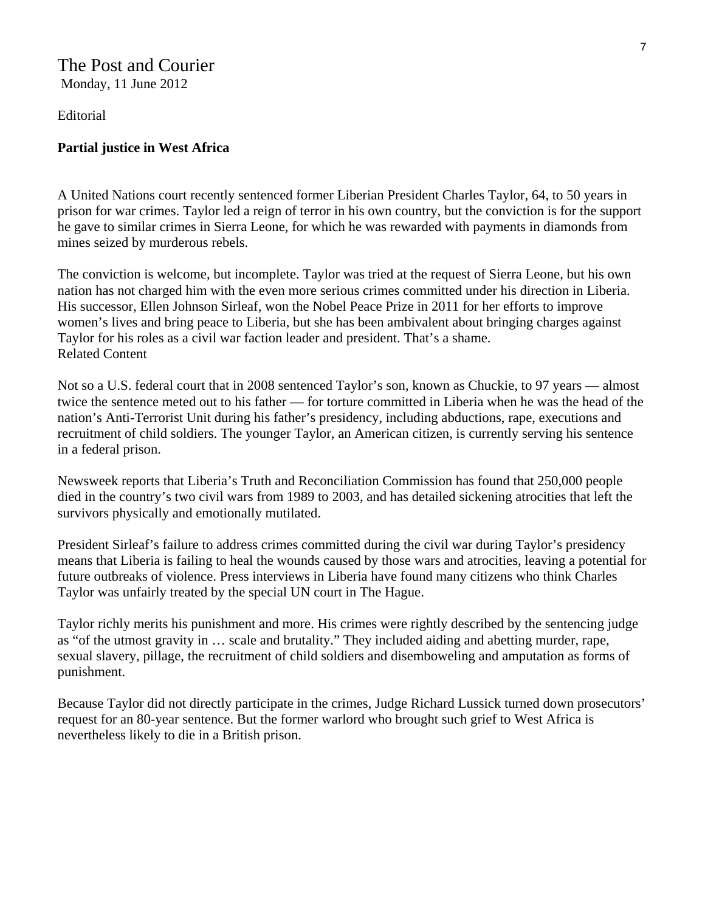#### The Post and Courier Monday, 11 June 2012

Editorial

#### **Partial justice in West Africa**

A United Nations court recently sentenced former Liberian President Charles Taylor, 64, to 50 years in prison for war crimes. Taylor led a reign of terror in his own country, but the conviction is for the support he gave to similar crimes in Sierra Leone, for which he was rewarded with payments in diamonds from mines seized by murderous rebels.

The conviction is welcome, but incomplete. Taylor was tried at the request of Sierra Leone, but his own nation has not charged him with the even more serious crimes committed under his direction in Liberia. His successor, Ellen Johnson Sirleaf, won the Nobel Peace Prize in 2011 for her efforts to improve women's lives and bring peace to Liberia, but she has been ambivalent about bringing charges against Taylor for his roles as a civil war faction leader and president. That's a shame. Related Content

Not so a U.S. federal court that in 2008 sentenced Taylor's son, known as Chuckie, to 97 years — almost twice the sentence meted out to his father — for torture committed in Liberia when he was the head of the nation's Anti-Terrorist Unit during his father's presidency, including abductions, rape, executions and recruitment of child soldiers. The younger Taylor, an American citizen, is currently serving his sentence in a federal prison.

Newsweek reports that Liberia's Truth and Reconciliation Commission has found that 250,000 people died in the country's two civil wars from 1989 to 2003, and has detailed sickening atrocities that left the survivors physically and emotionally mutilated.

President Sirleaf's failure to address crimes committed during the civil war during Taylor's presidency means that Liberia is failing to heal the wounds caused by those wars and atrocities, leaving a potential for future outbreaks of violence. Press interviews in Liberia have found many citizens who think Charles Taylor was unfairly treated by the special UN court in The Hague.

Taylor richly merits his punishment and more. His crimes were rightly described by the sentencing judge as "of the utmost gravity in … scale and brutality." They included aiding and abetting murder, rape, sexual slavery, pillage, the recruitment of child soldiers and disemboweling and amputation as forms of punishment.

Because Taylor did not directly participate in the crimes, Judge Richard Lussick turned down prosecutors' request for an 80-year sentence. But the former warlord who brought such grief to West Africa is nevertheless likely to die in a British prison.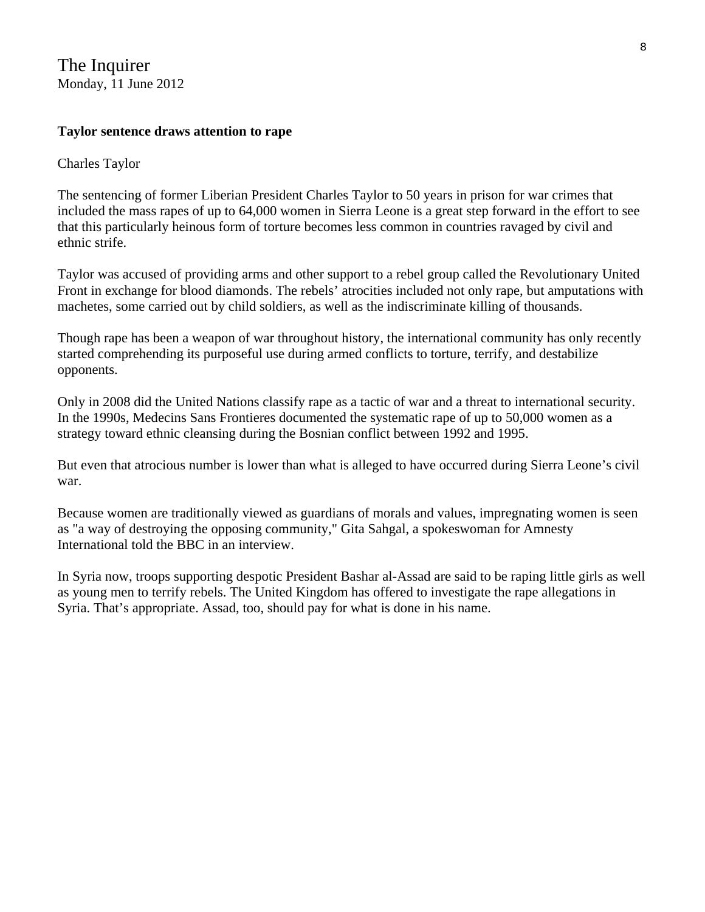The Inquirer Monday, 11 June 2012

#### **Taylor sentence draws attention to rape**

Charles Taylor

The sentencing of former Liberian President Charles Taylor to 50 years in prison for war crimes that included the mass rapes of up to 64,000 women in Sierra Leone is a great step forward in the effort to see that this particularly heinous form of torture becomes less common in countries ravaged by civil and ethnic strife.

Taylor was accused of providing arms and other support to a rebel group called the Revolutionary United Front in exchange for blood diamonds. The rebels' atrocities included not only rape, but amputations with machetes, some carried out by child soldiers, as well as the indiscriminate killing of thousands.

Though rape has been a weapon of war throughout history, the international community has only recently started comprehending its purposeful use during armed conflicts to torture, terrify, and destabilize opponents.

Only in 2008 did the United Nations classify rape as a tactic of war and a threat to international security. In the 1990s, Medecins Sans Frontieres documented the systematic rape of up to 50,000 women as a strategy toward ethnic cleansing during the Bosnian conflict between 1992 and 1995.

But even that atrocious number is lower than what is alleged to have occurred during Sierra Leone's civil war.

Because women are traditionally viewed as guardians of morals and values, impregnating women is seen as "a way of destroying the opposing community," Gita Sahgal, a spokeswoman for Amnesty International told the BBC in an interview.

In Syria now, troops supporting despotic President Bashar al-Assad are said to be raping little girls as well as young men to terrify rebels. The United Kingdom has offered to investigate the rape allegations in Syria. That's appropriate. Assad, too, should pay for what is done in his name.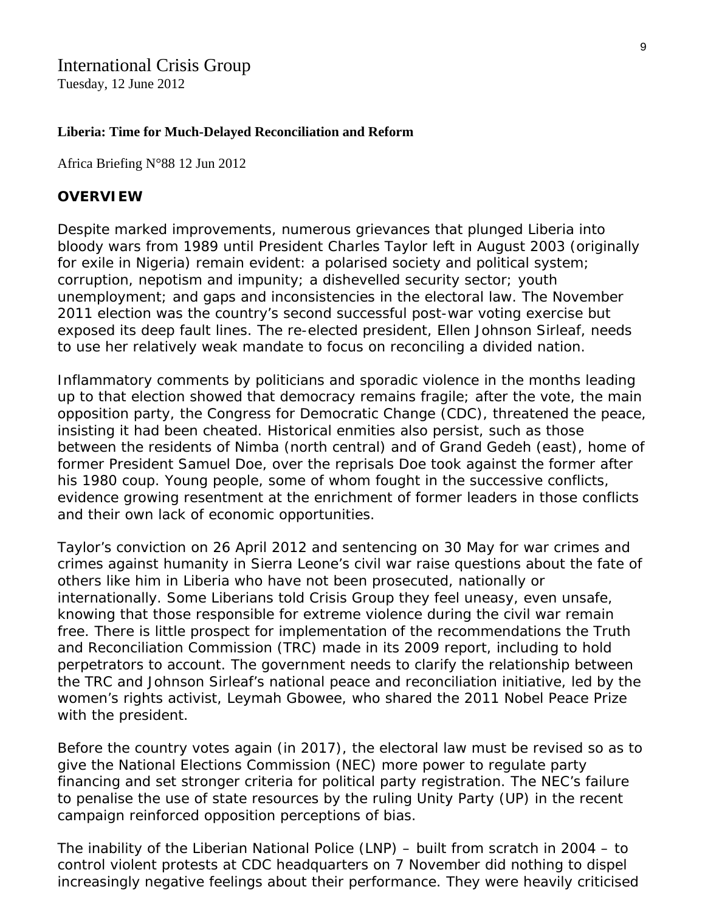## International Crisis Group

Tuesday, 12 June 2012

#### **Liberia: Time for Much-Delayed Reconciliation and Reform**

Africa Briefing N°88 12 Jun 2012

#### **OVERVIEW**

Despite marked improvements, numerous grievances that plunged Liberia into bloody wars from 1989 until President Charles Taylor left in August 2003 (originally for exile in Nigeria) remain evident: a polarised society and political system; corruption, nepotism and impunity; a dishevelled security sector; youth unemployment; and gaps and inconsistencies in the electoral law. The November 2011 election was the country's second successful post-war voting exercise but exposed its deep fault lines. The re-elected president, Ellen Johnson Sirleaf, needs to use her relatively weak mandate to focus on reconciling a divided nation.

Inflammatory comments by politicians and sporadic violence in the months leading up to that election showed that democracy remains fragile; after the vote, the main opposition party, the Congress for Democratic Change (CDC), threatened the peace, insisting it had been cheated. Historical enmities also persist, such as those between the residents of Nimba (north central) and of Grand Gedeh (east), home of former President Samuel Doe, over the reprisals Doe took against the former after his 1980 coup. Young people, some of whom fought in the successive conflicts, evidence growing resentment at the enrichment of former leaders in those conflicts and their own lack of economic opportunities.

Taylor's conviction on 26 April 2012 and sentencing on 30 May for war crimes and crimes against humanity in Sierra Leone's civil war raise questions about the fate of others like him in Liberia who have not been prosecuted, nationally or internationally. Some Liberians told Crisis Group they feel uneasy, even unsafe, knowing that those responsible for extreme violence during the civil war remain free. There is little prospect for implementation of the recommendations the Truth and Reconciliation Commission (TRC) made in its 2009 report, including to hold perpetrators to account. The government needs to clarify the relationship between the TRC and Johnson Sirleaf's national peace and reconciliation initiative, led by the women's rights activist, Leymah Gbowee, who shared the 2011 Nobel Peace Prize with the president.

Before the country votes again (in 2017), the electoral law must be revised so as to give the National Elections Commission (NEC) more power to regulate party financing and set stronger criteria for political party registration. The NEC's failure to penalise the use of state resources by the ruling Unity Party (UP) in the recent campaign reinforced opposition perceptions of bias.

The inability of the Liberian National Police (LNP) – built from scratch in 2004 – to control violent protests at CDC headquarters on 7 November did nothing to dispel increasingly negative feelings about their performance. They were heavily criticised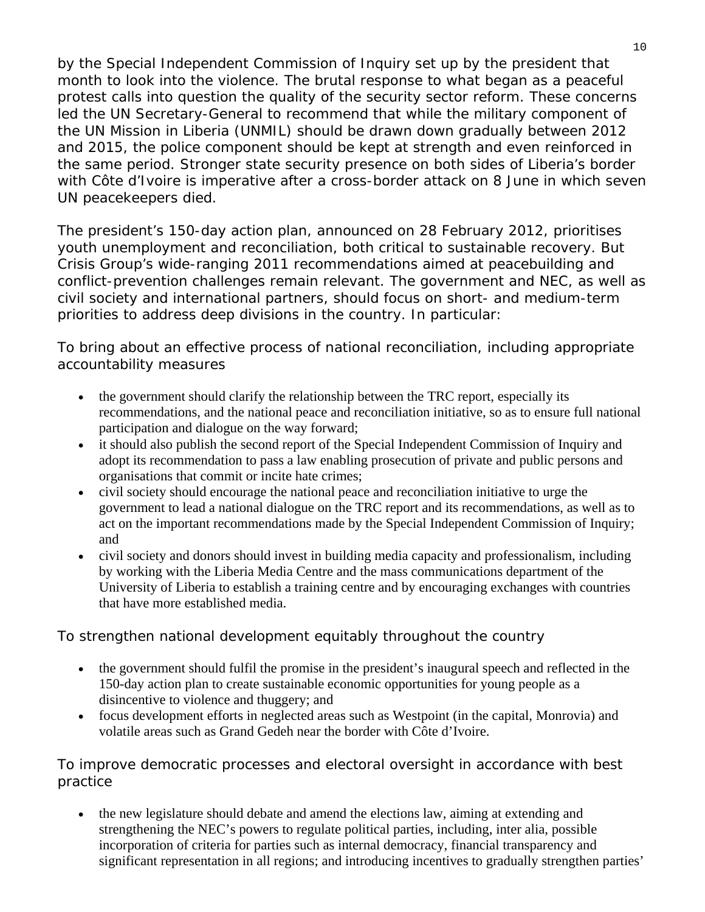by the Special Independent Commission of Inquiry set up by the president that month to look into the violence. The brutal response to what began as a peaceful protest calls into question the quality of the security sector reform. These concerns led the UN Secretary-General to recommend that while the military component of the UN Mission in Liberia (UNMIL) should be drawn down gradually between 2012 and 2015, the police component should be kept at strength and even reinforced in the same period. Stronger state security presence on both sides of Liberia's border with Côte d'Ivoire is imperative after a cross-border attack on 8 June in which seven UN peacekeepers died.

The president's 150-day action plan, announced on 28 February 2012, prioritises youth unemployment and reconciliation, both critical to sustainable recovery. But Crisis Group's wide-ranging 2011 recommendations aimed at peacebuilding and conflict-prevention challenges remain relevant. The government and NEC, as well as civil society and international partners, should focus on short- and medium-term priorities to address deep divisions in the country. In particular:

## *To bring about an effective process of national reconciliation*, *including appropriate accountability measures*

- the government should clarify the relationship between the TRC report, especially its recommendations, and the national peace and reconciliation initiative, so as to ensure full national participation and dialogue on the way forward;
- it should also publish the second report of the Special Independent Commission of Inquiry and adopt its recommendation to pass a law enabling prosecution of private and public persons and organisations that commit or incite hate crimes;
- civil society should encourage the national peace and reconciliation initiative to urge the government to lead a national dialogue on the TRC report and its recommendations, as well as to act on the important recommendations made by the Special Independent Commission of Inquiry; and
- civil society and donors should invest in building media capacity and professionalism, including by working with the Liberia Media Centre and the mass communications department of the University of Liberia to establish a training centre and by encouraging exchanges with countries that have more established media.

## *To strengthen national development equitably throughout the country*

- the government should fulfil the promise in the president's inaugural speech and reflected in the 150-day action plan to create sustainable economic opportunities for young people as a disincentive to violence and thuggery; and
- focus development efforts in neglected areas such as Westpoint (in the capital, Monrovia) and volatile areas such as Grand Gedeh near the border with Côte d'Ivoire.

## *To improve democratic processes and electoral oversight in accordance with best practice*

• the new legislature should debate and amend the elections law, aiming at extending and strengthening the NEC's powers to regulate political parties, including, inter alia, possible incorporation of criteria for parties such as internal democracy, financial transparency and significant representation in all regions; and introducing incentives to gradually strengthen parties'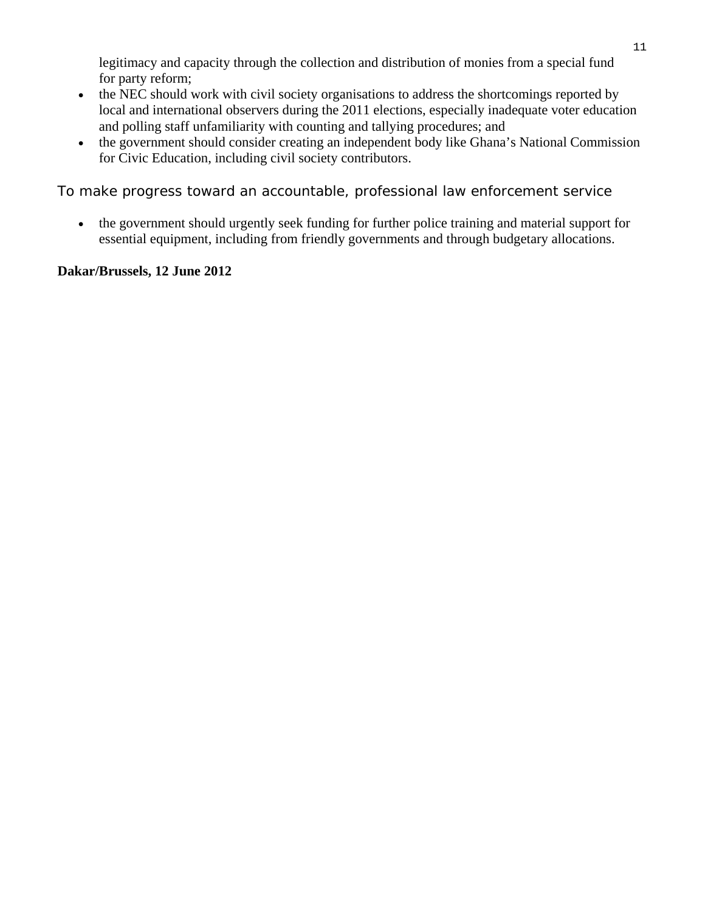legitimacy and capacity through the collection and distribution of monies from a special fund for party reform;

- the NEC should work with civil society organisations to address the shortcomings reported by local and international observers during the 2011 elections, especially inadequate voter education and polling staff unfamiliarity with counting and tallying procedures; and
- the government should consider creating an independent body like Ghana's National Commission for Civic Education, including civil society contributors.

#### *To make progress toward an accountable*, *professional law enforcement service*

• the government should urgently seek funding for further police training and material support for essential equipment, including from friendly governments and through budgetary allocations.

#### **Dakar/Brussels, 12 June 2012**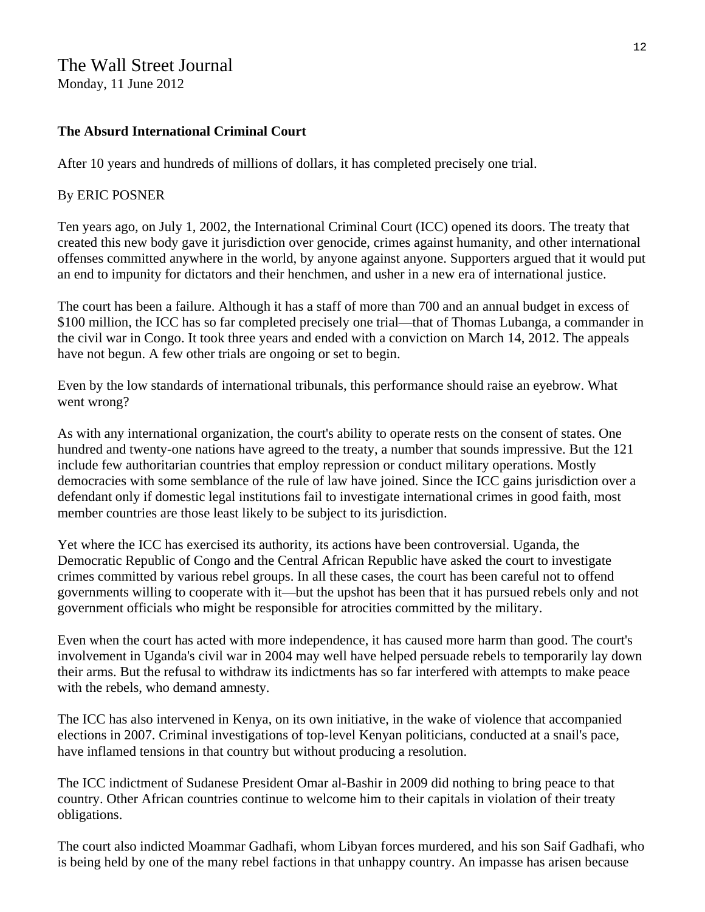## The Wall Street Journal

Monday, 11 June 2012

#### **The Absurd International Criminal Court**

After 10 years and hundreds of millions of dollars, it has completed precisely one trial.

#### By ERIC POSNER

Ten years ago, on July 1, 2002, the International Criminal Court (ICC) opened its doors. The treaty that created this new body gave it jurisdiction over genocide, crimes against humanity, and other international offenses committed anywhere in the world, by anyone against anyone. Supporters argued that it would put an end to impunity for dictators and their henchmen, and usher in a new era of international justice.

The court has been a failure. Although it has a staff of more than 700 and an annual budget in excess of \$100 million, the ICC has so far completed precisely one trial—that of Thomas Lubanga, a commander in the civil war in Congo. It took three years and ended with a conviction on March 14, 2012. The appeals have not begun. A few other trials are ongoing or set to begin.

Even by the low standards of international tribunals, this performance should raise an eyebrow. What went wrong?

As with any international organization, the court's ability to operate rests on the consent of states. One hundred and twenty-one nations have agreed to the treaty, a number that sounds impressive. But the 121 include few authoritarian countries that employ repression or conduct military operations. Mostly democracies with some semblance of the rule of law have joined. Since the ICC gains jurisdiction over a defendant only if domestic legal institutions fail to investigate international crimes in good faith, most member countries are those least likely to be subject to its jurisdiction.

Yet where the ICC has exercised its authority, its actions have been controversial. Uganda, the Democratic Republic of Congo and the Central African Republic have asked the court to investigate crimes committed by various rebel groups. In all these cases, the court has been careful not to offend governments willing to cooperate with it—but the upshot has been that it has pursued rebels only and not government officials who might be responsible for atrocities committed by the military.

Even when the court has acted with more independence, it has caused more harm than good. The court's involvement in Uganda's civil war in 2004 may well have helped persuade rebels to temporarily lay down their arms. But the refusal to withdraw its indictments has so far interfered with attempts to make peace with the rebels, who demand amnesty.

The ICC has also intervened in Kenya, on its own initiative, in the wake of violence that accompanied elections in 2007. Criminal investigations of top-level Kenyan politicians, conducted at a snail's pace, have inflamed tensions in that country but without producing a resolution.

The ICC indictment of Sudanese President Omar al-Bashir in 2009 did nothing to bring peace to that country. Other African countries continue to welcome him to their capitals in violation of their treaty obligations.

The court also indicted Moammar Gadhafi, whom Libyan forces murdered, and his son Saif Gadhafi, who is being held by one of the many rebel factions in that unhappy country. An impasse has arisen because